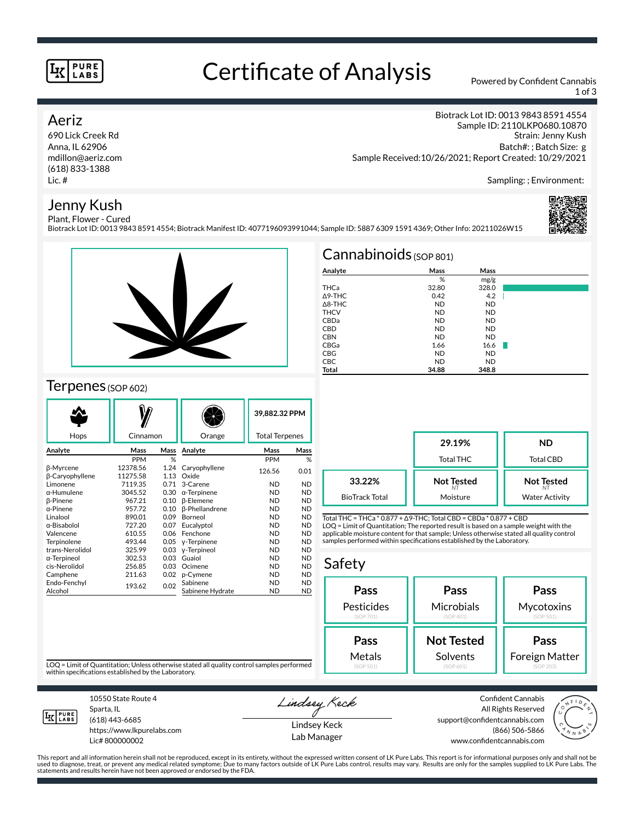#### **PURE** LABS

## Certificate of Analysis Powered by Confident Cannabis

1 of 3

### Aeriz

690 Lick Creek Rd Anna, IL 62906 mdillon@aeriz.com (618) 833-1388 Lic. #

Biotrack Lot ID: 0013 9843 8591 4554 Sample ID: 2110LKP0680.10870 Strain: Jenny Kush Batch#: ; Batch Size: g Sample Received:10/26/2021; Report Created: 10/29/2021

Sampling: ; Environment:

### Jenny Kush



Plant, Flower - Cured Biotrack Lot ID: 0013 9843 8591 4554; Biotrack Manifest ID: 4077196093991044; Sample ID: 5887 6309 1591 4369; Other Info: 20211026W15



## Terpenes (SOP 602)

|                                            |                      |              |                              | 39.882.32 PPM         |                        |
|--------------------------------------------|----------------------|--------------|------------------------------|-----------------------|------------------------|
| Hops                                       | Cinnamon             |              | Orange                       | <b>Total Terpenes</b> |                        |
| Analyte                                    | Mass                 | Mass         | Analyte                      | Mass                  | Mass                   |
|                                            | PPM                  | %            |                              | <b>PPM</b>            | %                      |
| <b>ß-Myrcene</b><br><b>B-Caryophyllene</b> | 12378.56<br>11275.58 | 1.24<br>1.13 | Caryophyllene<br>Oxide       | 126.56                | 0.01                   |
| Limonene                                   | 7119.35              | 0.71         | 3-Carene                     | <b>ND</b>             | <b>ND</b>              |
| $\alpha$ -Humulene                         | 3045.52              | 0.30         | $\alpha$ -Terpinene          | <b>ND</b>             | <b>ND</b>              |
| <b>B-Pinene</b>                            | 967.21               | 0.10         | <b>ß-Elemene</b>             | <b>ND</b>             | <b>ND</b>              |
| $\alpha$ -Pinene                           | 957.72               | 0.10         | <b>ß-Phellandrene</b>        | <b>ND</b>             | <b>ND</b>              |
| Linalool                                   | 890.01               | 0.09         | Borneol                      | <b>ND</b>             | <b>ND</b>              |
| α-Bisabolol                                | 727.20               | 0.07         | Eucalyptol                   | <b>ND</b>             | <b>ND</b>              |
| Valencene                                  | 610.55               | 0.06         | Fenchone                     | <b>ND</b>             | <b>ND</b>              |
| Terpinolene                                | 493.44               | 0.05         | y-Terpinene                  | <b>ND</b>             | <b>ND</b>              |
| trans-Nerolidol                            | 325.99               | 0.03         | y-Terpineol                  | <b>ND</b>             | <b>ND</b>              |
| α-Terpineol                                | 302.53               | 0.03         | Guaiol                       | <b>ND</b>             | <b>ND</b>              |
| cis-Nerolidol                              | 256.85               | 0.03         | Ocimene                      | <b>ND</b>             | <b>ND</b>              |
| Camphene                                   | 211.63               | 0.02         | p-Cymene                     | <b>ND</b>             | <b>ND</b>              |
| Endo-Fenchyl<br>Alcohol                    | 193.62               | 0.02         | Sabinene<br>Sabinene Hydrate | <b>ND</b><br>ND       | <b>ND</b><br><b>ND</b> |

|                   | $Cannabinoids$ (SOP 801) |           |  |
|-------------------|--------------------------|-----------|--|
| Analyte           | Mass                     | Mass      |  |
|                   | %                        | mg/g      |  |
| THCa              | 32.80                    | 328.0     |  |
| $\triangle$ 9-THC | 0.42                     | 4.2       |  |
| $\triangle$ 8-THC | <b>ND</b>                | <b>ND</b> |  |
| <b>THCV</b>       | <b>ND</b>                | <b>ND</b> |  |
| CBDa              | <b>ND</b>                | <b>ND</b> |  |
| <b>CBD</b>        | <b>ND</b>                | <b>ND</b> |  |
| <b>CBN</b>        | <b>ND</b>                | <b>ND</b> |  |
| CBGa              | 1.66                     | 16.6      |  |
| <b>CBG</b>        | <b>ND</b>                | <b>ND</b> |  |
| CBC               | <b>ND</b>                | <b>ND</b> |  |
| <b>Total</b>      | 34.88                    | 348.8     |  |

**29.19%** Total THC **ND** Total CBD **Not Tested** *NT* Moisture **Not Tested** *NT* Water Activity **33.22%** BioTrack Total

Total THC = THCa \* 0.877 + ∆9-THC; Total CBD = CBDa \* 0.877 + CBD LOQ = Limit of Quantitation; The reported result is based on a sample weight with the applicable moisture content for that sample; Unless otherwise stated all quality control samples performed within specifications established by the Laboratory.

## Safety



LOQ = Limit of Quantitation; Unless otherwise stated all quality control samples performed within specifications established by the Laboratory.



Sparta, IL (618) 443-6685

10550 State Route 4

https://www.lkpurelabs.com Lic# 800000002

Lindsey Keck Lindsey Keck

Lab Manager

Confident Cannabis All Rights Reserved support@confidentcannabis.com (866) 506-5866 www.confidentcannabis.com



This report and all information herein shall not be reproduced, except in its entirety, without the expressed written consent of LK Pure Labs. This report is for informational purposes only and shall not be<br>used to diagnos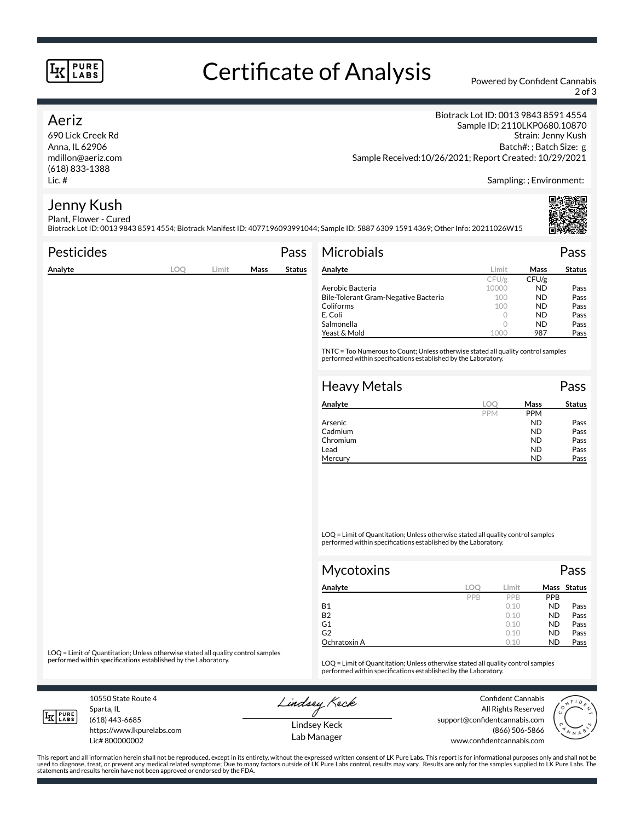#### **PURE** LABS

# Certificate of Analysis Powered by Confident Cannabis

2 of 3

#### Aeriz

690 Lick Creek Rd Anna, IL 62906 mdillon@aeriz.com (618) 833-1388 Lic. #

Biotrack Lot ID: 0013 9843 8591 4554 Sample ID: 2110LKP0680.10870 Strain: Jenny Kush Batch#: ; Batch Size: g Sample Received:10/26/2021; Report Created: 10/29/2021

Sampling: ; Environment:

#### Jenny Kush Plant, Flower - Cured

Biotrack Lot ID: 0013 9843 8591 4554; Biotrack Manifest ID: 4077196093991044; Sample ID: 5887 6309 1591 4369; Other Info: 20211026W15

| <b>Pesticides</b> |            |       |      | Pass          | <b>Microbials</b>                                                                                                                                   |            |       | Pass          |
|-------------------|------------|-------|------|---------------|-----------------------------------------------------------------------------------------------------------------------------------------------------|------------|-------|---------------|
| Analyte           | <b>LOO</b> | Limit | Mass | <b>Status</b> | Analyte                                                                                                                                             | Limit      | Mass  | <b>Status</b> |
|                   |            |       |      |               |                                                                                                                                                     | CFU/g      | CFU/g |               |
|                   |            |       |      |               | Aerobic Bacteria                                                                                                                                    | 10000      | ND.   | Pass          |
|                   |            |       |      |               | Bile-Tolerant Gram-Negative Bacteria                                                                                                                | 100        | ND.   | Pass          |
|                   |            |       |      |               | Coliforms                                                                                                                                           | 100        | ND.   | Pass          |
|                   |            |       |      |               | E. Coli                                                                                                                                             | $\circ$    | ND.   | Pass          |
|                   |            |       |      |               | Salmonella                                                                                                                                          | $\circ$    | ND.   | Pass          |
|                   |            |       |      |               | Yeast & Mold                                                                                                                                        | 1000       | 987   | Pass          |
|                   |            |       |      |               | TNTC = Too Numerous to Count; Unless otherwise stated all quality control samples<br>performed within specifications established by the Laboratory. |            |       |               |
|                   |            |       |      |               | <b>Heavy Metals</b>                                                                                                                                 |            |       | Pass          |
|                   |            |       |      |               | Analyte                                                                                                                                             | <b>LOO</b> | Mass  | <b>Status</b> |

| Analyte  | loc        | Mass       | <b>Status</b> |
|----------|------------|------------|---------------|
|          | <b>PPM</b> | <b>PPM</b> |               |
| Arsenic  |            | <b>ND</b>  | Pass          |
| Cadmium  |            | <b>ND</b>  | Pass          |
| Chromium |            | ND         | Pass          |
| Lead     |            | ND         | Pass          |
| Mercury  |            | <b>ND</b>  | Pass          |

LOQ = Limit of Quantitation; Unless otherwise stated all quality control samples performed within specifications established by the Laboratory.

| <b>Mycotoxins</b> |     |            |            | Pass        |
|-------------------|-----|------------|------------|-------------|
| Analyte           | LOC | Limit      |            | Mass Status |
|                   | PPB | <b>PPR</b> | <b>PPB</b> |             |
| <b>B1</b>         |     | 0.10       | <b>ND</b>  | Pass        |
| <b>B2</b>         |     | 0.10       | <b>ND</b>  | Pass        |
| G1                |     | 0.10       | <b>ND</b>  | Pass        |
| G2                |     | 0.10       | <b>ND</b>  | Pass        |
| Ochratoxin A      |     | 0.10       | <b>ND</b>  | Pass        |

LOQ = Limit of Quantitation; Unless otherwise stated all quality control samples<br>performed within specifications established by the Laboratory.

LOQ = Limit of Quantitation; Unless otherwise stated all quality control samples performed within specifications established by the Laboratory.

10550 State Route 4 Sparta, IL

Lindsey Keck

Confident Cannabis All Rights Reserved support@confidentcannabis.com (866) 506-5866 www.confidentcannabis.com



**IK PURE** 

(618) 443-6685 https://www.lkpurelabs.com

Lic# 800000002

Lindsey Keck Lab Manager

This report and all information herein shall not be reproduced, except in its entirety, without the expressed written consent of LK Pure Labs. This report is for informational purposes only and shall not be<br>used to diagnos